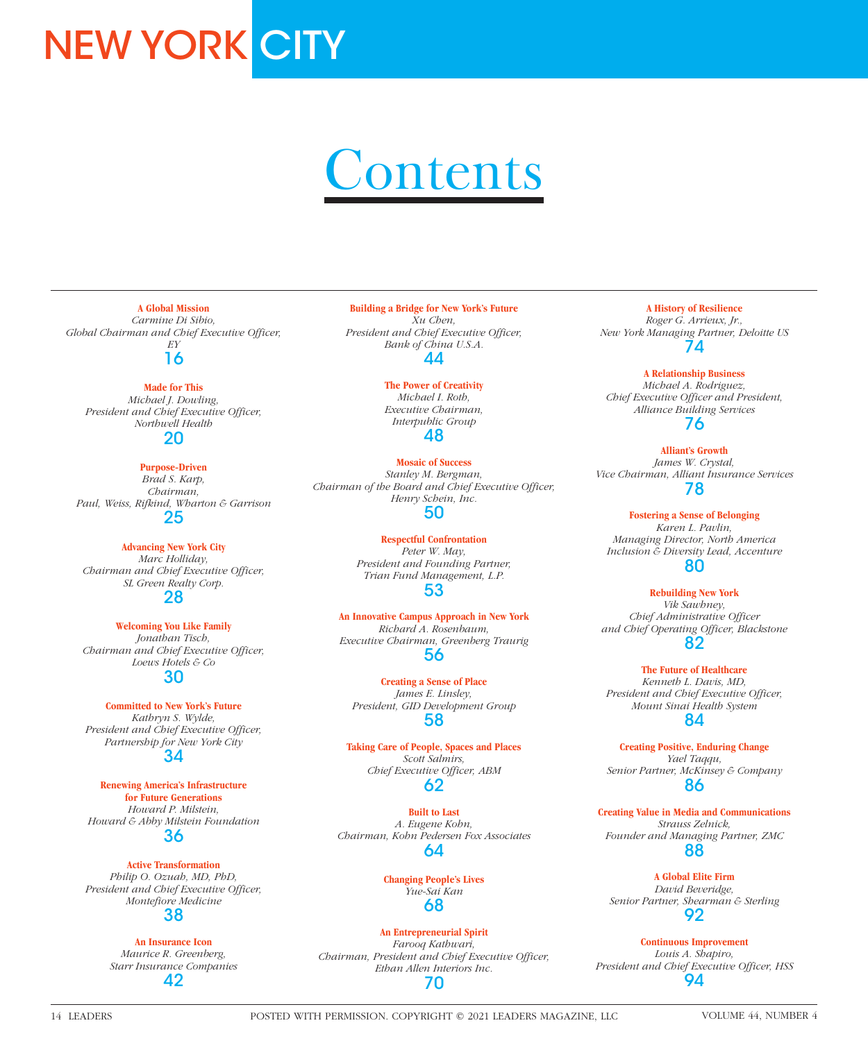# **NEW YORK CITY**

# **Contents**

**A Global Mission** *Carmine Di Sibio,* 

*Global Chairman and Chief Executive Officer, EY* 16

### **Made for This** *Michael J. Dowling,*

*President and Chief Executive Officer, Northwell Health* 20

## **Purpose-Driven**

*Brad S. Karp, Chairman, Paul, Weiss, Rifkind, Wharton & Garrison* 25

## **Advancing New York City** *Marc Holliday, Chairman and Chief Executive Officer, SL Green Realty Corp.*

28

### **Welcoming You Like Family** *Jonathan Tisch, Chairman and Chief Executive Officer, Loews Hotels & Co* 30

**Committed to New York's Future** *Kathryn S. Wylde, President and Chief Executive Officer, Partnership for New York City* 34

**Renewing America's Infrastructure for Future Generations** *Howard P. Milstein, Howard & Abby Milstein Foundation* 36

## **Active Transformation** *Philip O. Ozuah, MD, PhD, President and Chief Executive Officer, Montefiore Medicine* 38

**An Insurance Icon** *Maurice R. Greenberg, Starr Insurance Companies* 42

**Building a Bridge for New York's Future** *Xu Chen, President and Chief Executive Officer, Bank of China U.S.A.* 44

> **The Power of Creativity** *Michael I. Roth, Executive Chairman, Interpublic Group*

## 48

**Mosaic of Success** *Stanley M. Bergman, Chairman of the Board and Chief Executive Officer, Henry Schein, Inc.* 50

> **Respectful Confrontation** *Peter W. May, President and Founding Partner, Trian Fund Management, L.P.* 53

**An Innovative Campus Approach in New York** *Richard A. Rosenbaum, Executive Chairman, Greenberg Traurig* 56

**Creating a Sense of Place** *James E. Linsley, President, GID Development Group* 58

**Taking Care of People, Spaces and Places** *Scott Salmirs, Chief Executive Officer, ABM* 62

**Built to Last** *A. Eugene Kohn, Chairman, Kohn Pedersen Fox Associates* 64

## **Changing People's Lives** *Yue-Sai Kan* 68

**An Entrepreneurial Spirit** *Farooq Kathwari, Chairman, President and Chief Executive Officer, Ethan Allen Interiors Inc.* 70

**A History of Resilience** *Roger G. Arrieux, Jr., New York Managing Partner, Deloitte US* 74

**A Relationship Business** *Michael A. Rodriguez, Chief Executive Officer and President, Alliance Building Services* 76

**Alliant's Growth** *James W. Crystal, Vice Chairman, Alliant Insurance Services* 78

**Fostering a Sense of Belonging** *Karen L. Pavlin, Managing Director, North America Inclusion & Diversity Lead, Accenture* 80

**Rebuilding New York**

*Vik Sawhney, Chief Administrative Officer and Chief Operating Officer, Blackstone* 82

**The Future of Healthcare** *Kenneth L. Davis, MD, President and Chief Executive Officer, Mount Sinai Health System* 84

**Creating Positive, Enduring Change** *Yael Taqqu, Senior Partner, McKinsey & Company* 86

**Creating Value in Media and Communications** *Strauss Zelnick, Founder and Managing Partner, ZMC* 88

**A Global Elite Firm** *David Beveridge, Senior Partner, Shearman & Sterling* 92

**Continuous Improvement** *Louis A. Shapiro, President and Chief Executive Officer, HSS* 94